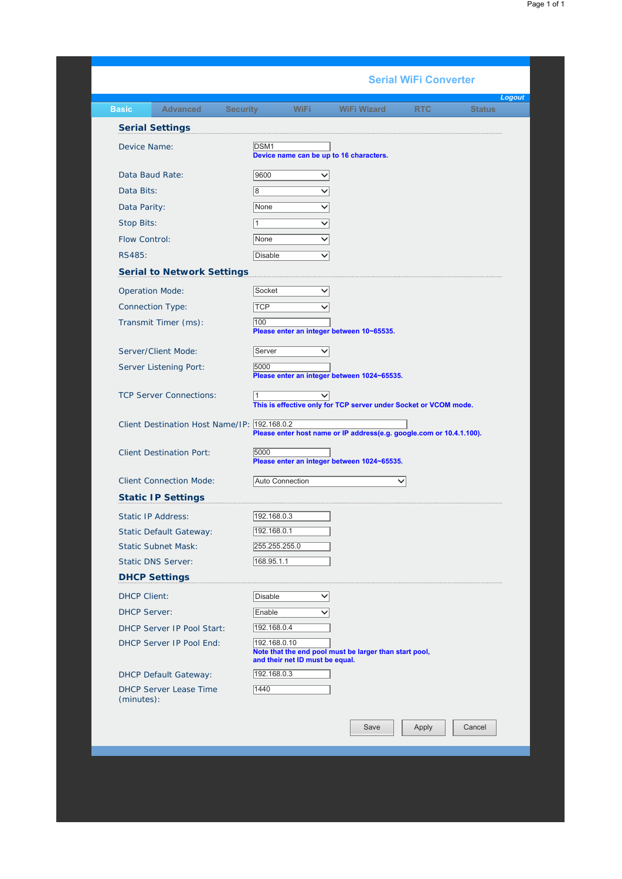## *Logout* **Basic Advanced Security WiFi WiFi Wizard** Device Name: Data Baud Rate: Data Bits: Data Parity: Stop Bits: Flow Control: RS485: Operation Mode: Connection Type: Transmit Timer (ms): Server/Client Mode: Server Listening Port: TCP Server Connections: Client Destination Host Name/IP: 192.168.0.2 Client Destination Port: Client Connection Mode: Static IP Address: Static Default Gateway: Static Subnet Mask: Static DNS Server: DHCP Client: DHCP Server: DHCP Server IP Pool Start: DHCP Server IP Pool End: DHCP Default Gateway: DHCP Server Lease Time (minutes): **Serial WiFi Converter Serial Settings** DSM<sub>1</sub> **Device name can be up to 16 characters.** 9600 8 None v  $\frac{1}{1}$ None v Disable **v Serial to Network Settings** Socket v TCP V 100 **Please enter an integer between 10~65535.** Server v 5000 **Please enter an integer between 1024~65535.**  $\frac{1}{1}$   $\sqrt{1}$ **This is effective only for TCP server under Socket or VCOM mode. Please enter host name or IP address(e.g. google.com or 10.4.1.100).** 5000 **Please enter an integer between 1024~65535.** Auto Connection v **Static IP Settings** 192.168.0.3 192.168.0.1 255.255.0 168.95.1.1 **DHCP Settings** Disable v Enable v 192.168.0.4 192.168.0.10 **Note that the end pool must be larger than start pool, and their net ID must be equal.** 192.168.0.3 1440 Save | Apply | Cancel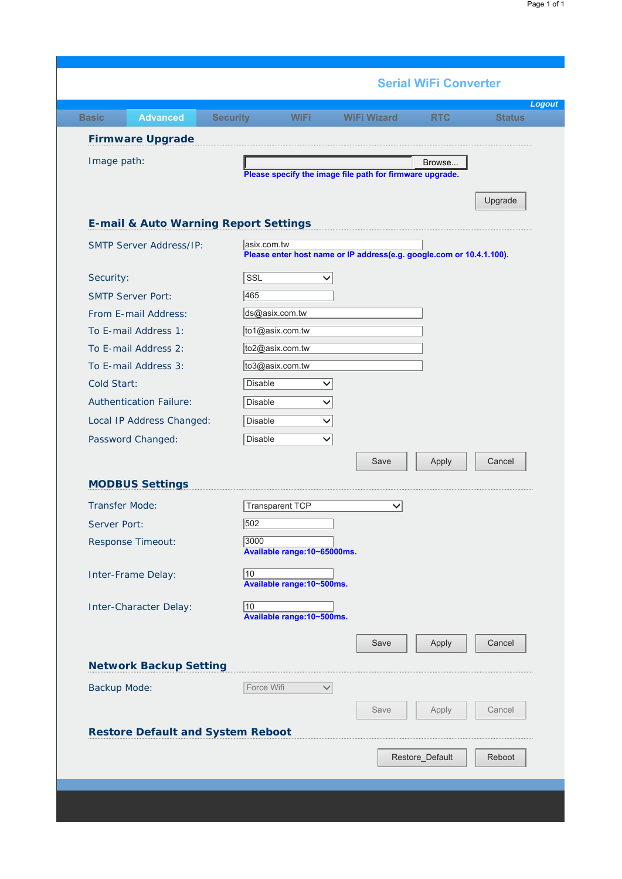| <b>Firmware Upgrade</b>                          |                                                                      |         |
|--------------------------------------------------|----------------------------------------------------------------------|---------|
| Image path:                                      | Browse<br>Please specify the image file path for firmware upgrade.   |         |
|                                                  |                                                                      | Upgrade |
| <b>E-mail &amp; Auto Warning Report Settings</b> |                                                                      |         |
| <b>SMTP Server Address/IP:</b>                   | asix.com.tw                                                          |         |
|                                                  | Please enter host name or IP address(e.g. google.com or 10.4.1.100). |         |
| Security:                                        | SSL                                                                  |         |
| <b>SMTP Server Port:</b>                         | 465                                                                  |         |
| From E-mail Address:                             | ds@asix.com.tw                                                       |         |
| To E-mail Address 1:                             | to1@asix.com.tw                                                      |         |
| To E-mail Address 2:<br>To E-mail Address 3:     | to2@asix.com.tw<br>to3@asix.com.tw                                   |         |
| Cold Start:                                      | <b>Disable</b>                                                       |         |
| <b>Authentication Failure:</b>                   | <b>Disable</b>                                                       |         |
|                                                  | <b>Disable</b>                                                       |         |
| Local IP Address Changed:                        | $\checkmark$                                                         |         |
| Password Changed:                                | <b>Disable</b><br>$\checkmark$                                       |         |
|                                                  | Save<br>Apply                                                        | Cancel  |
| <b>MODBUS Settings</b>                           |                                                                      |         |
| <b>Transfer Mode:</b>                            | <b>Transparent TCP</b><br>$\checkmark$                               |         |
| Server Port:                                     | 502                                                                  |         |
| Response Timeout:                                | 3000                                                                 |         |
|                                                  | Available range: 10~65000ms.                                         |         |
| Inter-Frame Delay:                               | $\sqrt{10}$<br>Available range: 10~500ms.                            |         |
| Inter-Character Delay:                           | $\sqrt{10}$                                                          |         |
|                                                  | Available range: 10~500ms.                                           |         |
|                                                  | Save<br>Apply                                                        | Cancel  |
| <b>Network Backup Setting</b>                    |                                                                      |         |
| Backup Mode:                                     | Force Wifi<br>$\checkmark$                                           |         |
|                                                  | Save<br>Apply                                                        | Cancel  |
|                                                  |                                                                      |         |
| <b>Restore Default and System Reboot</b>         |                                                                      |         |
|                                                  | Restore_Default                                                      | Reboot  |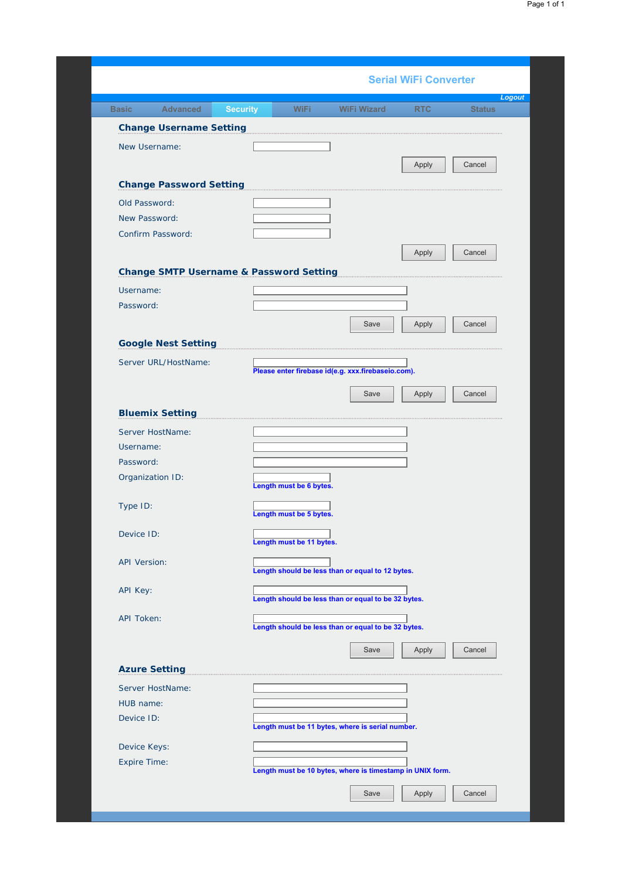|                                                    | <b>Serial WiFi Converter</b>                              |        |
|----------------------------------------------------|-----------------------------------------------------------|--------|
| Security                                           |                                                           | Logout |
| <b>Change Username Setting</b>                     |                                                           |        |
| New Username:                                      | Apply                                                     | Cancel |
| <b>Change Password Setting</b>                     |                                                           |        |
| Old Password:                                      |                                                           |        |
| New Password:                                      |                                                           |        |
| Confirm Password:                                  |                                                           |        |
|                                                    | Apply                                                     | Cancel |
| <b>Change SMTP Username &amp; Password Setting</b> |                                                           |        |
|                                                    |                                                           |        |
| Username:<br>Password:                             |                                                           |        |
|                                                    |                                                           |        |
|                                                    | Apply<br>Save                                             | Cancel |
| <b>Google Nest Setting</b>                         |                                                           |        |
| Server URL/HostName:                               | Please enter firebase id(e.g. xxx.firebaseio.com).        |        |
|                                                    |                                                           |        |
|                                                    | Save<br>Apply                                             | Cancel |
| <b>Bluemix Setting</b>                             |                                                           |        |
| Server HostName:                                   |                                                           |        |
| Username:                                          |                                                           |        |
| Password:                                          |                                                           |        |
| Organization ID:                                   | Length must be 6 bytes.                                   |        |
| Type ID:                                           | Length must be 5 bytes.                                   |        |
| Device ID:                                         | Length must be 11 bytes.                                  |        |
| <b>API Version:</b>                                | Length should be less than or equal to 12 bytes.          |        |
|                                                    |                                                           |        |
| API Key:                                           | Length should be less than or equal to be 32 bytes.       |        |
| API Token:                                         |                                                           |        |
|                                                    | Length should be less than or equal to be 32 bytes.       |        |
|                                                    | Save<br>Apply                                             | Cancel |
| <b>Azure Setting</b>                               |                                                           |        |
| Server HostName:                                   |                                                           |        |
| HUB name:                                          |                                                           |        |
| Device ID:                                         |                                                           |        |
|                                                    | Length must be 11 bytes, where is serial number.          |        |
| Device Keys:                                       |                                                           |        |
| Expire Time:                                       | Length must be 10 bytes, where is timestamp in UNIX form. |        |
|                                                    |                                                           |        |
|                                                    | Save<br>Apply                                             | Cancel |
|                                                    |                                                           |        |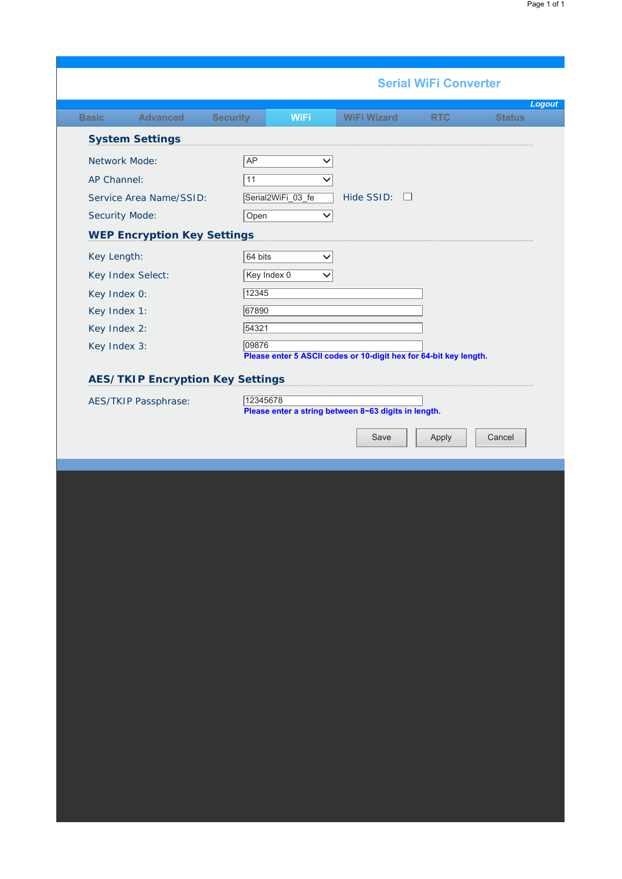| Page 1 of 1 |  |  |
|-------------|--|--|
|             |  |  |

|                                         | <b>Serial WiFi Converter</b>                                               |
|-----------------------------------------|----------------------------------------------------------------------------|
|                                         | Logout<br>WiFi<br>UR                                                       |
| <b>System Settings</b>                  |                                                                            |
| Network Mode:                           | AP<br>$\checkmark$                                                         |
| AP Channel:                             | 11<br>$\checkmark$                                                         |
| Service Area Name/SSID:                 | Serial2WiFi_03_fe<br>Hide SSID: $\square$                                  |
| Security Mode:                          | Open<br>$\checkmark$                                                       |
| <b>WEP Encryption Key Settings</b>      |                                                                            |
| Key Length:                             | 64 bits<br>$\checkmark$                                                    |
| Key Index Select:                       | Key Index 0<br>$\checkmark$                                                |
| Key Index 0:                            | $\sqrt{12345}$                                                             |
| Key Index 1:                            | 67890                                                                      |
| Key Index 2:                            | 54321                                                                      |
| Key Index 3:                            | 09876<br>Please enter 5 ASCII codes or 10-digit hex for 64-bit key length. |
| <b>AES/TKIP Encryption Key Settings</b> |                                                                            |
| AES/TKIP Passphrase:                    | 12345678                                                                   |
|                                         | Please enter a string between 8~63 digits in length.                       |
|                                         |                                                                            |
|                                         | Save<br>Cancel                                                             |
|                                         | Apply                                                                      |
|                                         |                                                                            |
|                                         |                                                                            |
|                                         |                                                                            |
|                                         |                                                                            |
|                                         |                                                                            |
|                                         |                                                                            |
|                                         |                                                                            |
|                                         |                                                                            |
|                                         |                                                                            |
|                                         |                                                                            |
|                                         |                                                                            |
|                                         |                                                                            |
|                                         |                                                                            |
|                                         |                                                                            |
|                                         |                                                                            |
|                                         |                                                                            |
|                                         |                                                                            |
|                                         |                                                                            |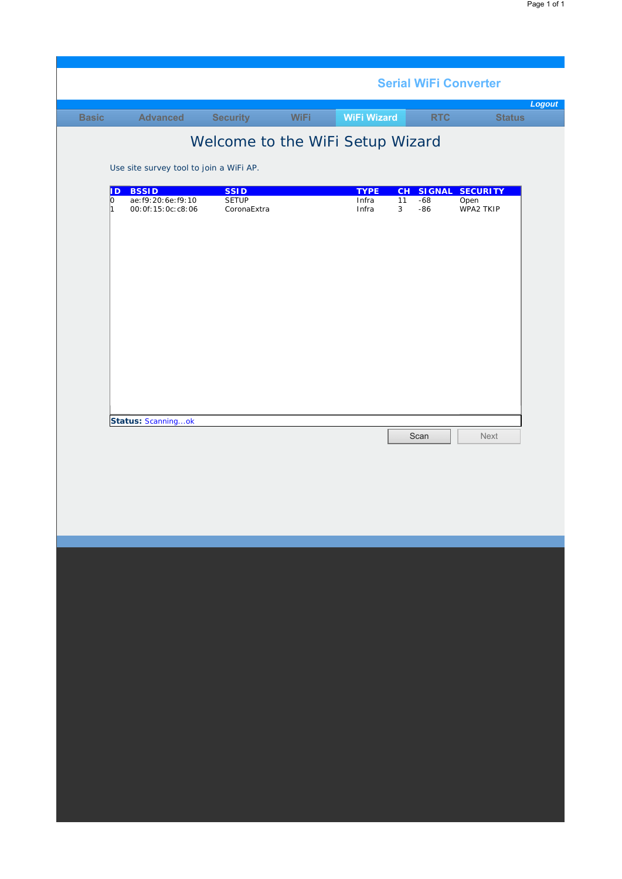| <b>Status</b><br><b>Advanced</b><br>mm<br><b>WiFi Wizard</b><br>Sed<br>RTC<br>553<br>Welcome to the WiFi Setup Wizard<br>Use site survey tool to join a WiFi AP.<br><b>BSSID</b><br>ID.<br><b>SSID</b><br><b>TYPE</b><br>CH<br><b>SIGNAL</b><br><b>SECURITY</b><br><b>SETUP</b><br>ae: f9: 20: 6e: f9: 10<br>Infra<br>$-68$<br>lo.<br>11<br>Open<br>00:0f:15:0c:c8:06<br>CoronaExtra<br>Infra<br>$-86$<br>WPA2 TKIP<br>3<br>1<br>Status: Scanningok<br>Scan<br>Next |  |  |  |  | <b>Serial WiFi Converter</b> |        |
|---------------------------------------------------------------------------------------------------------------------------------------------------------------------------------------------------------------------------------------------------------------------------------------------------------------------------------------------------------------------------------------------------------------------------------------------------------------------|--|--|--|--|------------------------------|--------|
|                                                                                                                                                                                                                                                                                                                                                                                                                                                                     |  |  |  |  |                              | Logout |
|                                                                                                                                                                                                                                                                                                                                                                                                                                                                     |  |  |  |  |                              |        |
|                                                                                                                                                                                                                                                                                                                                                                                                                                                                     |  |  |  |  |                              |        |
|                                                                                                                                                                                                                                                                                                                                                                                                                                                                     |  |  |  |  |                              |        |
|                                                                                                                                                                                                                                                                                                                                                                                                                                                                     |  |  |  |  |                              |        |
|                                                                                                                                                                                                                                                                                                                                                                                                                                                                     |  |  |  |  |                              |        |
|                                                                                                                                                                                                                                                                                                                                                                                                                                                                     |  |  |  |  |                              |        |
|                                                                                                                                                                                                                                                                                                                                                                                                                                                                     |  |  |  |  |                              |        |
|                                                                                                                                                                                                                                                                                                                                                                                                                                                                     |  |  |  |  |                              |        |
|                                                                                                                                                                                                                                                                                                                                                                                                                                                                     |  |  |  |  |                              |        |
|                                                                                                                                                                                                                                                                                                                                                                                                                                                                     |  |  |  |  |                              |        |
|                                                                                                                                                                                                                                                                                                                                                                                                                                                                     |  |  |  |  |                              |        |
|                                                                                                                                                                                                                                                                                                                                                                                                                                                                     |  |  |  |  |                              |        |
|                                                                                                                                                                                                                                                                                                                                                                                                                                                                     |  |  |  |  |                              |        |
|                                                                                                                                                                                                                                                                                                                                                                                                                                                                     |  |  |  |  |                              |        |
|                                                                                                                                                                                                                                                                                                                                                                                                                                                                     |  |  |  |  |                              |        |
|                                                                                                                                                                                                                                                                                                                                                                                                                                                                     |  |  |  |  |                              |        |
|                                                                                                                                                                                                                                                                                                                                                                                                                                                                     |  |  |  |  |                              |        |
|                                                                                                                                                                                                                                                                                                                                                                                                                                                                     |  |  |  |  |                              |        |
|                                                                                                                                                                                                                                                                                                                                                                                                                                                                     |  |  |  |  |                              |        |
|                                                                                                                                                                                                                                                                                                                                                                                                                                                                     |  |  |  |  |                              |        |
|                                                                                                                                                                                                                                                                                                                                                                                                                                                                     |  |  |  |  |                              |        |
|                                                                                                                                                                                                                                                                                                                                                                                                                                                                     |  |  |  |  |                              |        |
|                                                                                                                                                                                                                                                                                                                                                                                                                                                                     |  |  |  |  |                              |        |
|                                                                                                                                                                                                                                                                                                                                                                                                                                                                     |  |  |  |  |                              |        |
|                                                                                                                                                                                                                                                                                                                                                                                                                                                                     |  |  |  |  |                              |        |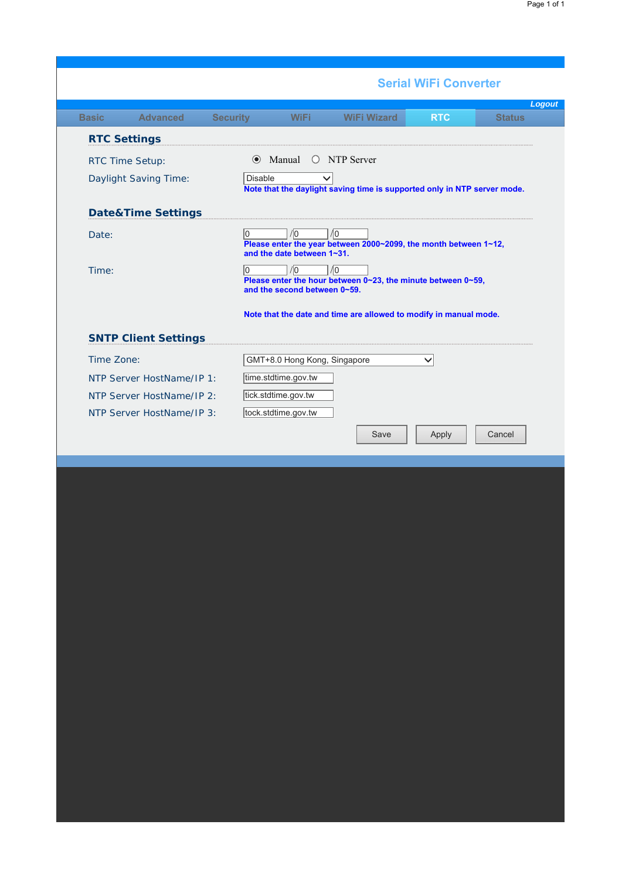|                               | <b>Serial WiFi Converter</b>                                                                                                                  |
|-------------------------------|-----------------------------------------------------------------------------------------------------------------------------------------------|
|                               | Logout<br><b>Status</b><br><b>RTC</b>                                                                                                         |
| <b>RTC Settings</b>           |                                                                                                                                               |
| RTC Time Setup:               | ● Manual ○ NTP Server                                                                                                                         |
| Daylight Saving Time:         | Disable<br>Note that the daylight saving time is supported only in NTP server mode.                                                           |
| <b>Date&amp;Time Settings</b> |                                                                                                                                               |
| Date:                         | $ 0\rangle$<br>10<br>/0<br>Please enter the year between 2000~2099, the month between 1~12,<br>and the date between 1~31.                     |
| Time:                         | $\sqrt{0}$<br>$ 0\rangle$<br>$\sqrt{0}$<br>Please enter the hour between $0$ ~23, the minute between $0$ ~59,<br>and the second between 0~59. |
|                               | Note that the date and time are allowed to modify in manual mode.                                                                             |
| <b>SNTP Client Settings</b>   |                                                                                                                                               |
| Time Zone:                    | GMT+8.0 Hong Kong, Singapore<br>$\checkmark$                                                                                                  |
| NTP Server HostName/IP 1:     | time.stdtime.gov.tw                                                                                                                           |
| NTP Server HostName/IP 2:     | tick.stdtime.gov.tw                                                                                                                           |
| NTP Server HostName/IP 3:     | tock.stdtime.gov.tw                                                                                                                           |
|                               | Save<br>Apply<br>Cancel                                                                                                                       |
|                               |                                                                                                                                               |
|                               |                                                                                                                                               |
|                               |                                                                                                                                               |
|                               |                                                                                                                                               |
|                               |                                                                                                                                               |
|                               |                                                                                                                                               |
|                               |                                                                                                                                               |
|                               |                                                                                                                                               |
|                               |                                                                                                                                               |
|                               |                                                                                                                                               |
|                               |                                                                                                                                               |
|                               |                                                                                                                                               |
|                               |                                                                                                                                               |
|                               |                                                                                                                                               |
|                               |                                                                                                                                               |
|                               |                                                                                                                                               |
|                               |                                                                                                                                               |
|                               |                                                                                                                                               |
|                               |                                                                                                                                               |